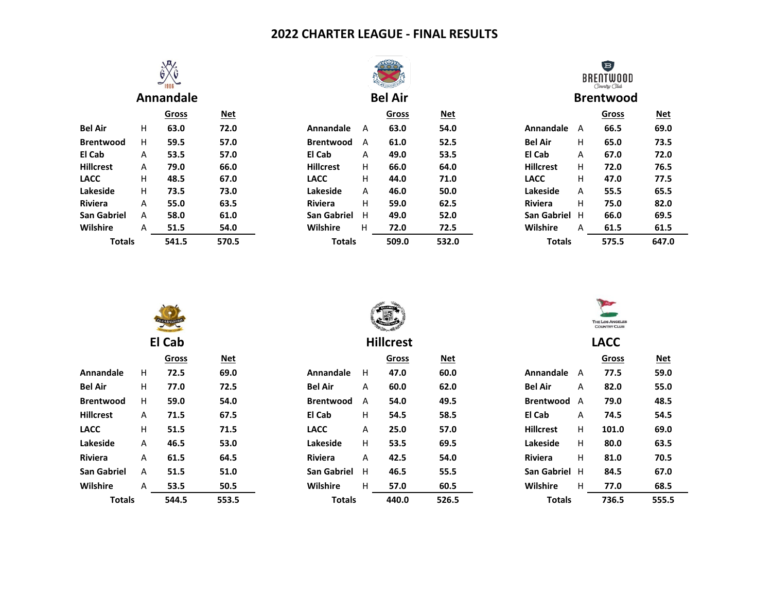# **2022 CHARTER LEAGUE - FINAL RESULTS**



|                    |   | Gross | Net   |
|--------------------|---|-------|-------|
| <b>Bel Air</b>     | н | 63.0  | 72.0  |
| <b>Brentwood</b>   | н | 59.5  | 57.0  |
| El Cab             | А | 53.5  | 57.0  |
| <b>Hillcrest</b>   | А | 79.0  | 66.0  |
| <b>LACC</b>        | н | 48.5  | 67.0  |
| Lakeside           | н | 73.5  | 73.0  |
| <b>Riviera</b>     | А | 55.0  | 63.5  |
| <b>San Gabriel</b> | А | 58.0  | 61.0  |
| Wilshire           | А |       | 54.0  |
| <b>Totals</b>      |   | 541.5 | 570.5 |



|                |   | Gross | <u>Net</u> |                    |   | Gross | <u>Net</u> |                    |    | <b>Gross</b> | <u>Net</u> |
|----------------|---|-------|------------|--------------------|---|-------|------------|--------------------|----|--------------|------------|
| Bel Air        | н | 63.0  | 72.0       | Annandale          | A | 63.0  | 54.0       | Annandale          | A  | 66.5         | 69.0       |
| Brentwood      | н | 59.5  | 57.0       | <b>Brentwood</b>   | A | 61.0  | 52.5       | <b>Bel Air</b>     | н  | 65.0         | 73.5       |
| El Cab         | A | 53.5  | 57.0       | El Cab             | A | 49.0  | 53.5       | El Cab             | A  | 67.0         | 72.0       |
| Hillcrest      | A | 79.0  | 66.0       | <b>Hillcrest</b>   | н | 66.0  | 64.0       | <b>Hillcrest</b>   | H. | 72.0         | 76.5       |
| <b>LACC</b>    | н | 48.5  | 67.0       | <b>LACC</b>        | н | 44.0  | 71.0       | <b>LACC</b>        | H. | 47.0         | 77.5       |
| Lakeside       | H | 73.5  | 73.0       | Lakeside           | A | 46.0  | 50.0       | Lakeside           | A  | 55.5         | 65.5       |
| <b>Riviera</b> | A | 55.0  | 63.5       | <b>Riviera</b>     | н | 59.0  | 62.5       | <b>Riviera</b>     | н  | 75.0         | 82.0       |
| San Gabriel    | A | 58.0  | 61.0       | <b>San Gabriel</b> | н | 49.0  | 52.0       | <b>San Gabriel</b> | н  | 66.0         | 69.5       |
| Wilshire       | A | 51.5  | 54.0       | Wilshire           | H | 72.0  | 72.5       | Wilshire           | A  | 61.5         | 61.5       |
| <b>Totals</b>  |   | 541.5 | 570.5      | <b>Totals</b>      |   | 509.0 | 532.0      | <b>Totals</b>      |    | 575.5        | 647.0      |
|                |   |       |            |                    |   |       |            |                    |    |              |            |



**Annandale Bel Air Brentwood**

|                  |   | Gross | Net   |
|------------------|---|-------|-------|
| Annandale        | А | 66.5  | 69.0  |
| <b>Bel Air</b>   | н | 65.0  | 73.5  |
| El Cab           | А | 67.0  | 72.0  |
| <b>Hillcrest</b> | н | 72.0  | 76.5  |
| LACC             | н | 47.0  | 77.5  |
| Lakeside         | А | 55.5  | 65.5  |
| <b>Riviera</b>   | н | 75.0  | 82.0  |
| San Gabriel      | н | 66.0  | 69.5  |
| Wilshire         | А |       | 61.5  |
| <b>Totals</b>    |   | 575.5 | 647.0 |
|                  |   |       |       |

|                    |    | <b>EL CABALLER</b> |            |                    |                  | <b>Little</b><br><b>THE LOS ANGE</b><br><b>COUNTRY CL</b> |            |                    |   |      |
|--------------------|----|--------------------|------------|--------------------|------------------|-----------------------------------------------------------|------------|--------------------|---|------|
|                    |    | El Cab             |            |                    | <b>Hillcrest</b> |                                                           |            | <b>LACC</b>        |   |      |
|                    |    | Gross              | <b>Net</b> |                    |                  | <b>Gross</b>                                              | <b>Net</b> |                    |   | Gros |
| Annandale          | H  | 72.5               | 69.0       | Annandale          | H                | 47.0                                                      | 60.0       | Annandale          | A | 77.5 |
| <b>Bel Air</b>     | H  | 77.0               | 72.5       | <b>Bel Air</b>     | A                | 60.0                                                      | 62.0       | <b>Bel Air</b>     | A | 82.0 |
| <b>Brentwood</b>   | H. | 59.0               | 54.0       | <b>Brentwood</b>   | A                | 54.0                                                      | 49.5       | <b>Brentwood</b>   | A | 79.0 |
| <b>Hillcrest</b>   | A  | 71.5               | 67.5       | El Cab             | Н                | 54.5                                                      | 58.5       | El Cab             | Α | 74.5 |
| <b>LACC</b>        | H  | 51.5               | 71.5       | <b>LACC</b>        | A                | 25.0                                                      | 57.0       | <b>Hillcrest</b>   | H | 101. |
| Lakeside           | A  | 46.5               | 53.0       | Lakeside           | H                | 53.5                                                      | 69.5       | Lakeside           | H | 80.0 |
| Riviera            | A  | 61.5               | 64.5       | Riviera            | A                | 42.5                                                      | 54.0       | <b>Riviera</b>     | H | 81.0 |
| <b>San Gabriel</b> | A  | 51.5               | 51.0       | <b>San Gabriel</b> | H                | 46.5                                                      | 55.5       | <b>San Gabriel</b> | H | 84.5 |
| Wilshire           | A  | 53.5               | 50.5       | Wilshire           | H                | 57.0                                                      | 60.5       | Wilshire           | H | 77.0 |
| <b>Totalc</b>      |    | 5 <i>AA</i> 5      | 5535       | <b>Totalc</b>      |                  | 440 Q                                                     | 5265       | Totalc             |   | 736  |



|                  |   | $\sim$ | <u>.</u> |                    |   | $\sim$ | <u>.</u> |                    |    | $\sim$ | <u>.</u> |
|------------------|---|--------|----------|--------------------|---|--------|----------|--------------------|----|--------|----------|
| Annandale        | н | 72.5   | 69.0     | Annandale          | H | 47.0   | 60.0     | Annandale          | А  | 77.5   | 59.0     |
| Bel Air          | H | 77.0   | 72.5     | <b>Bel Air</b>     | A | 60.0   | 62.0     | <b>Bel Air</b>     | A  | 82.0   | 55.0     |
| <b>Brentwood</b> | н | 59.0   | 54.0     | <b>Brentwood</b>   | A | 54.0   | 49.5     | <b>Brentwood</b>   | А  | 79.0   | 48.5     |
| Hillcrest        | A | 71.5   | 67.5     | El Cab             | н | 54.5   | 58.5     | El Cab             | A  | 74.5   | 54.5     |
| LACC             | н | 51.5   | 71.5     | <b>LACC</b>        | A | 25.0   | 57.0     | <b>Hillcrest</b>   | H  | 101.0  | 69.0     |
| Lakeside         | A | 46.5   | 53.0     | Lakeside           | н | 53.5   | 69.5     | Lakeside           | H. | 80.0   | 63.5     |
| <b>Riviera</b>   | A | 61.5   | 64.5     | <b>Riviera</b>     | A | 42.5   | 54.0     | <b>Riviera</b>     | H. | 81.0   | 70.5     |
| San Gabriel      | A | 51.5   | 51.0     | <b>San Gabriel</b> | H | 46.5   | 55.5     | <b>San Gabriel</b> | H  | 84.5   | 67.0     |
| Wilshire         | A | 53.5   | 50.5     | Wilshire           | н | 57.0   | 60.5     | Wilshire           | H. | 77.0   | 68.5     |
| <b>Totals</b>    |   | 544.5  | 553.5    | <b>Totals</b>      |   | 440.0  | 526.5    | <b>Totals</b>      |    | 736.5  | 555.5    |



| <u>Gross</u> | <u>Net</u> |                    |   | <b>Gross</b> | <u>Net</u> |                  |    | <b>Gross</b> | <u>Net</u> |  |
|--------------|------------|--------------------|---|--------------|------------|------------------|----|--------------|------------|--|
| 72.5         | 69.0       | Annandale          | H | 47.0         | 60.0       | Annandale        | А  | 77.5         | 59.0       |  |
| 77.0         | 72.5       | <b>Bel Air</b>     | A | 60.0         | 62.0       | <b>Bel Air</b>   | A  | 82.0         | 55.0       |  |
| 59.0         | 54.0       | <b>Brentwood</b>   | A | 54.0         | 49.5       | <b>Brentwood</b> | A  | 79.0         | 48.5       |  |
| 71.5         | 67.5       | El Cab             | Н | 54.5         | 58.5       | El Cab           | A  | 74.5         | 54.5       |  |
| 51.5         | 71.5       | <b>LACC</b>        | A | 25.0         | 57.0       | <b>Hillcrest</b> | H  | 101.0        | 69.0       |  |
| 46.5         | 53.0       | Lakeside           | H | 53.5         | 69.5       | Lakeside         | H  | 80.0         | 63.5       |  |
| 61.5         | 64.5       | <b>Riviera</b>     | A | 42.5         | 54.0       | <b>Riviera</b>   | н  | 81.0         | 70.5       |  |
| 51.5         | 51.0       | <b>San Gabriel</b> | H | 46.5         | 55.5       | San Gabriel H    |    | 84.5         | 67.0       |  |
| 53.5         | 50.5       | Wilshire           | H | 57.0         | 60.5       | <b>Wilshire</b>  | H. | 77.0         | 68.5       |  |
| 544.5        | 553.5      | <b>Totals</b>      |   | 440.0        | 526.5      | <b>Totals</b>    |    | 736.5        | 555.5      |  |